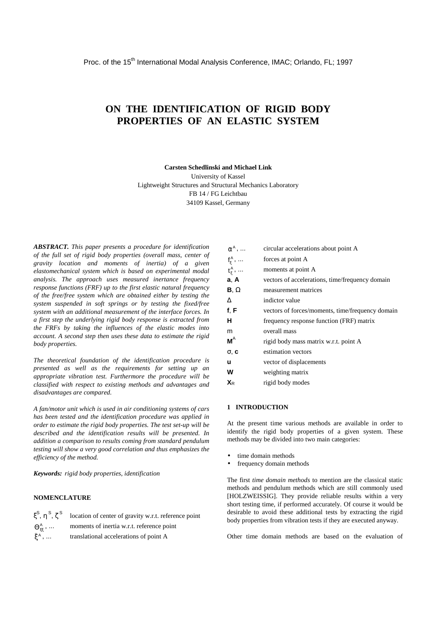# **ON THE IDENTIFICATION OF RIGID BODY PROPERTIES OF AN ELASTIC SYSTEM**

**Carsten Schedlinski and Michael Link**

University of Kassel Lightweight Structures and Structural Mechanics Laboratory FB 14 / FG Leichtbau 34109 Kassel, Germany

*ABSTRACT. This paper presents a procedure for identification of the full set of rigid body properties (overall mass, center of gravity location and moments of inertia) of a given elastomechanical system which is based on experimental modal analysis. The approach uses measured inertance frequency response functions (FRF) up to the first elastic natural frequency of the free/free system which are obtained either by testing the system suspended in soft springs or by testing the fixed/free system with an additional measurement of the interface forces. In a first step the underlying rigid body response is extracted from the FRFs by taking the influences of the elastic modes into account. A second step then uses these data to estimate the rigid body properties.*

*The theoretical foundation of the identification procedure is presented as well as the requirements for setting up an appropriate vibration test. Furthermore the procedure will be classified with respect to existing methods and advantages and disadvantages are compared.*

*A fan/motor unit which is used in air conditioning systems of cars has been tested and the identification procedure was applied in order to estimate the rigid body properties. The test set-up will be described and the identification results will be presented. In addition a comparison to results coming from standard pendulum testing will show a very good correlation and thus emphasizes the efficiency of the method.*

*Keywords: rigid body properties, identification*

# **NOMENCLATURE**

|                  | $\xi^s$ , $\eta^s$ , $\zeta^s$ location of center of gravity w.r.t. reference point |
|------------------|-------------------------------------------------------------------------------------|
|                  | $\Theta_{\varepsilon\varepsilon}^{A}$ ,  moments of inertia w.r.t. reference point  |
| ξ <sup>Α</sup> , | translational accelerations of point A                                              |

| $\ddot{\alpha}^A$ ,           | circular accelerations about point A             |
|-------------------------------|--------------------------------------------------|
| $f_{\xi}^A$ ,                 | forces at point A                                |
| $t_{\xi}^{\mathsf{A}}, \dots$ | moments at point A                               |
| a, A                          | vectors of accelerations, time/frequency domain  |
| $\mathbf{B}, \Omega$          | measurement matrices                             |
| $\Lambda$                     | indictor value                                   |
| f, F                          | vectors of forces/moments, time/frequency domain |
| н                             | frequency response function (FRF) matrix         |
| m                             | overall mass                                     |
| $M^A$                         | rigid body mass matrix w.r.t. point A            |
| $\sigma$ , $\mathbf{c}$       | estimation vectors                               |
| u                             | vector of displacements                          |
| w                             | weighting matrix                                 |
| $\mathbf{X}_{\mathsf{R}}$     | rigid body modes                                 |

## **1 INTRODUCTION**

At the present time various methods are available in order to identify the rigid body properties of a given system. These methods may be divided into two main categories:

- time domain methods
- frequency domain methods

The first *time domain methods* to mention are the classical static methods and pendulum methods which are still commonly used [HOLZWEISSIG]. They provide reliable results within a very short testing time, if performed accurately. Of course it would be desirable to avoid these additional tests by extracting the rigid body properties from vibration tests if they are executed anyway.

Other time domain methods are based on the evaluation of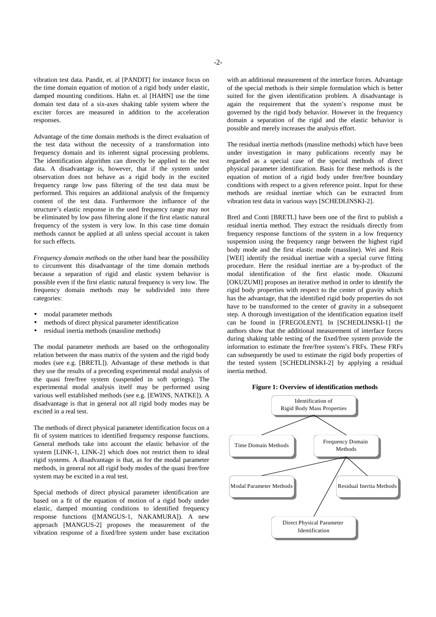vibration test data. Pandit, et. al [PANDIT] for instance focus on the time domain equation of motion of a rigid body under elastic, damped mounting conditions. Hahn et. al [HAHN] use the time domain test data of a six-axes shaking table system where the exciter forces are measured in addition to the acceleration responses.

Advantage of the time domain methods is the direct evaluation of the test data without the necessity of a transformation into frequency domain and its inherent signal processing problems. The identification algorithm can directly be applied to the test data. A disadvantage is, however, that if the system under observation does not behave as a rigid body in the excited frequency range low pass filtering of the test data must be performed. This requires an additional analysis of the frequency content of the test data. Furthermore the influence of the structure's elastic response in the used frequency range may not be eliminated by low pass filtering alone if the first elastic natural frequency of the system is very low. In this case time domain methods cannot be applied at all unless special account is taken for such effects.

*Frequency domain methods* on the other hand bear the possibility to circumvent this disadvantage of the time domain methods because a separation of rigid and elastic system behavior is possible even if the first elastic natural frequency is very low. The frequency domain methods may be subdivided into three categories:

- modal parameter methods
- methods of direct physical parameter identification
- residual inertia methods (massline methods)

The modal parameter methods are based on the orthogonality relation between the mass matrix of the system and the rigid body modes (see e.g. [BRETL]). Advantage of these methods is that they use the results of a preceding experimental modal analysis of the quasi free/free system (suspended in soft springs). The experimental modal analysis itself may be performed using various well established methods (see e.g. [EWINS, NATKE]). A disadvantage is that in general not all rigid body modes may be excited in a real test.

The methods of direct physical parameter identification focus on a fit of system matrices to identified frequency response functions. General methods take into account the elastic behavior of the system [LINK-1, LINK-2] which does not restrict them to ideal rigid systems. A disadvantage is that, as for the modal parameter methods, in general not all rigid body modes of the quasi free/free system may be excited in a real test.

Special methods of direct physical parameter identification are based on a fit of the equation of motion of a rigid body under elastic, damped mounting conditions to identified frequency response functions ([MANGUS-1, NAKAMURA]). A new approach [MANGUS-2] proposes the measurement of the vibration response of a fixed/free system under base excitation with an additional measurement of the interface forces. Advantage of the special methods is their simple formulation which is better suited for the given identification problem. A disadvantage is again the requirement that the system's response must be governed by the rigid body behavior. However in the frequency domain a separation of the rigid and the elastic behavior is possible and merely increases the analysis effort.

The residual inertia methods (massline methods) which have been under investigation in many publications recently may be regarded as a special case of the special methods of direct physical parameter identification. Basis for these methods is the equation of motion of a rigid body under free/free boundary conditions with respect to a given reference point. Input for these methods are residual inertiae which can be extracted from vibration test data in various ways [SCHEDLINSKI-2].

Bretl and Conti [BRETL] have been one of the first to publish a residual inertia method. They extract the residuals directly from frequency response functions of the system in a low frequency suspension using the frequency range between the highest rigid body mode and the first elastic mode (massline). Wei and Reis [WEI] identify the residual inertiae with a special curve fitting procedure. Here the residual inertiae are a by-product of the modal identification of the first elastic mode. Okuzumi [OKUZUMI] proposes an iterative method in order to identify the rigid body properties with respect to the center of gravity which has the advantage, that the identified rigid body properties do not have to be transformed to the center of gravity in a subsequent step. A thorough investigation of the identification equation itself can be found in [FREGOLENT]. In [SCHEDLINSKI-1] the authors show that the additional measurement of interface forces during shaking table testing of the fixed/free system provide the information to estimate the free/free system's FRFs. These FRFs can subsequently be used to estimate the rigid body properties of the tested system [SCHEDLINSKI-2] by applying a residual inertia method.

# **Figure 1: Overview of identification methods**

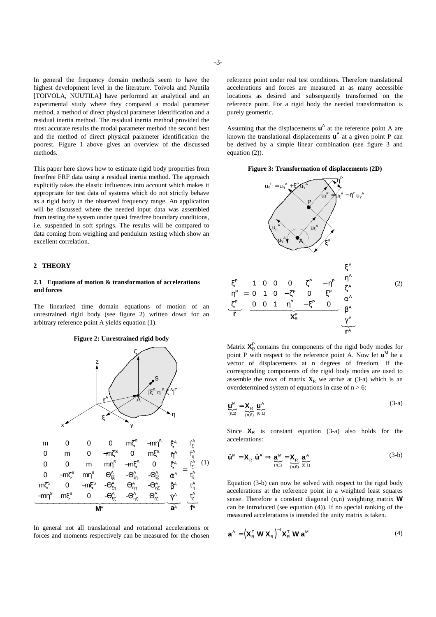In general the frequency domain methods seem to have the highest development level in the literature. Toivola and Nuutila [TOIVOLA, NUUTILA] have performed an analytical and an experimental study where they compared a modal parameter method, a method of direct physical parameter identification and a residual inertia method. The residual inertia method provided the most accurate results the modal parameter method the second best and the method of direct physical parameter identification the poorest. Figure 1 above gives an overview of the discussed methods.

This paper here shows how to estimate rigid body properties from free/free FRF data using a residual inertia method. The approach explicitly takes the elastic influences into account which makes it appropriate for test data of systems which do not strictly behave as a rigid body in the observed frequency range. An application will be discussed where the needed input data was assembled from testing the system under quasi free/free boundary conditions, i.e. suspended in soft springs. The results will be compared to data coming from weighing and pendulum testing which show an excellent correlation.

# **2 THEORY**

# **2.1 Equations of motion & transformation of accelerations and forces**

The linearized time domain equations of motion of an unrestrained rigid body (see figure 2) written down for an arbitrary reference point A yields equation (1).





In general not all translational and rotational accelerations or forces and moments respectively can be measured for the chosen

reference point under real test conditions. Therefore translational accelerations and forces are measured at as many accessible locations as desired and subsequently transformed on the reference point. For a rigid body the needed transformation is purely geometric.

Assuming that the displacements  $\mathbf{u}^{\mathsf{A}}$  at the reference point A are known the translational displacements  $\mathbf{u}^P$  at a given point P can be derived by a simple linear combination (see figure 3 and equation (2)).

# **Figure 3: Transformation of displacements (2D)**



Matrix  $X_R^P$  contains the components of the rigid body modes for point P with respect to the reference point A. Now let  $\mathbf{u}^M$  be a vector of displacements at n degrees of freedom. If the corresponding components of the rigid body modes are used to assemble the rows of matrix  $\mathbf{X}_R$  we arrive at (3-a) which is an overdetermined system of equations in case of  $n > 6$ :

$$
\underline{\mathbf{u}}_{(n,1)}^{\mathbf{M}} = \underline{\mathbf{X}}_{\mathbf{R}} \underline{\mathbf{u}}_{(n,6)}^{\mathbf{A}} \tag{3-a}
$$

Since  $X_R$  is constant equation (3-a) also holds for the accelerations:

$$
\ddot{\mathbf{u}}^{\mathsf{M}} = \mathbf{X}_{\mathsf{R}} \ \ddot{\mathbf{u}}^{\mathsf{A}} \Rightarrow \underbrace{\mathbf{a}^{\mathsf{M}}}_{\text{(n,1)}} = \underbrace{\mathbf{X}_{\mathsf{R}}}_{\text{(n,6)}} \ \underbrace{\mathbf{a}^{\mathsf{A}}}_{\text{(6,1)}} \tag{3-b}
$$

Equation (3-b) can now be solved with respect to the rigid body accelerations at the reference point in a weighted least squares sense. Therefore a constant diagonal (n,n) weighting matrix **W** can be introduced (see equation (4)). If no special ranking of the measured accelerations is intended the unity matrix is taken.

$$
\mathbf{a}^{\mathsf{A}} = \left(\mathbf{X}_{\mathsf{R}}^{\mathsf{T}} \mathbf{W} \mathbf{X}_{\mathsf{R}}\right)^{-1} \mathbf{X}_{\mathsf{R}}^{\mathsf{T}} \mathbf{W} \mathbf{a}^{\mathsf{M}}
$$
(4)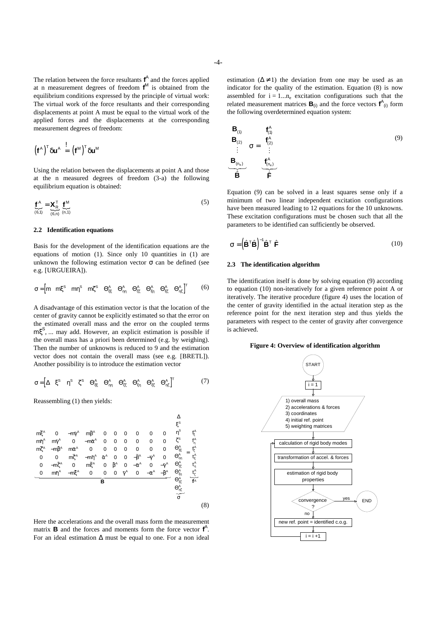The relation between the force resultants **f** A and the forces applied at n measurement degrees of freedom **f** <sup>M</sup> is obtained from the equilibrium conditions expressed by the principle of virtual work: The virtual work of the force resultants and their corresponding displacements at point A must be equal to the virtual work of the applied forces and the displacements at the corresponding measurement degrees of freedom:

$$
\left(\boldsymbol{f}^{\text{A}}\right)^{\text{T}}\delta\boldsymbol{u}^{\text{A}}\ \stackrel{!}{=}\ \left(\boldsymbol{f}^{\text{M}}\right)^{\text{T}}\delta\boldsymbol{u}^{\text{M}}
$$

Using the relation between the displacements at point A and those at the n measured degrees of freedom (3-a) the following equilibrium equation is obtained:

$$
\underbrace{\mathbf{f}^{\mathbf{A}}}_{(6,1)} = \underbrace{\mathbf{X}_{\mathbf{R}}^{\mathsf{T}}}_{(6, n)} \underbrace{\mathbf{f}^{\mathsf{M}}}_{(n,1)} \tag{5}
$$

## **2.2 Identification equations**

Basis for the development of the identification equations are the equations of motion (1). Since only 10 quantities in (1) are unknown the following estimation vector  $\sigma$  can be defined (see e.g. [URGUEIRA]).

$$
\sigma\!=\!\begin{bmatrix}m & m\xi^s & m\eta^s & m\zeta^s & \Theta_{\xi\xi}^A & \Theta_{\eta\eta}^A & \Theta_{\zeta\xi}^A & \Theta_{\xi\eta}^A & \Theta_{\xi\xi}^A & \Theta_{\eta\xi}^A\end{bmatrix}^T\qquad \quad (6)
$$

A disadvantage of this estimation vector is that the location of the center of gravity cannot be explicitly estimated so that the error on the estimated overall mass and the error on the coupled terms mξ<sup>S</sup>, ... may add. However, an explicit estimation is possible if the overall mass has a priori been determined (e.g. by weighing). Then the number of unknowns is reduced to 9 and the estimation vector does not contain the overall mass (see e.g. [BRETL]). Another possibility is to introduce the estimation vector

$$
\sigma = \begin{bmatrix} \Delta & \xi^s & \eta^s & \zeta^s & \Theta_{\xi\xi}^A & \Theta_{\eta\eta}^A & \Theta_{\zeta\zeta}^A & \Theta_{\xi\eta}^A & \Theta_{\zeta\zeta}^A & \Theta_{\eta\zeta}^A \end{bmatrix}^T
$$
(7)

Reassembling (1) then yields:

m mm mm m m mm m m m m m m A AA AA A A AA A AA A A A AA A A A A A AA && && && && && && && && && && && && && && && && && && && && && && && && ξ γβ ηγ α ζ βα ζ ηα β γ ζ ξβα γ η ξ γ αβ 0 000 0 0 0 0 000 0 0 0 0 000 0 0 0 0 0 00 0 0 0 00 0 0 0 00 0 − − − − −− − −− − −− **B** 14444444444444 3 <sup>24444444444444</sup> { 23 A A A ∆ Θ Θ Θ Θ Θ Θ ξ η ζ ξξ ηη ζζ ξη ξζ ηζ ξ η ζ ξ η ζ S S S A A A A A A A A A A f f f t t t = σ **f** (8)

Here the accelerations and the overall mass form the measurement matrix **B** and the forces and moments form the force vector **f** A . For an ideal estimation ∆ must be equal to one. For a non ideal

$$
\begin{bmatrix}\n\mathbf{B}_{(1)} \\
\mathbf{B}_{(2)} \\
\vdots \\
\mathbf{B}_{(n_0)}\n\end{bmatrix}\n\sigma = \begin{bmatrix}\n\mathbf{f}_{(1)}^{\mathbf{A}} \\
\mathbf{f}_{(2)}^{\mathbf{A}} \\
\vdots \\
\mathbf{f}_{(n_0)}^{\mathbf{A}}\n\end{bmatrix}
$$
\n(9)

Equation (9) can be solved in a least squares sense only if a minimum of two linear independent excitation configurations have been measured leading to 12 equations for the 10 unknowns. These excitation configurations must be chosen such that all the parameters to be identified can sufficiently be observed.

$$
\sigma = \left(\hat{\mathbf{B}}^{\mathsf{T}}\hat{\mathbf{B}}\right)^{-1}\hat{\mathbf{B}}^{\mathsf{T}}\hat{\mathbf{F}}\tag{10}
$$

#### **2.3 The identification algorithm**

The identification itself is done by solving equation (9) according to equation (10) non-iteratively for a given reference point A or iteratively. The iterative procedure (figure 4) uses the location of the center of gravity identified in the actual iteration step as the reference point for the next iteration step and thus yields the parameters with respect to the center of gravity after convergence is achieved.

# **Figure 4: Overview of identification algorithm**

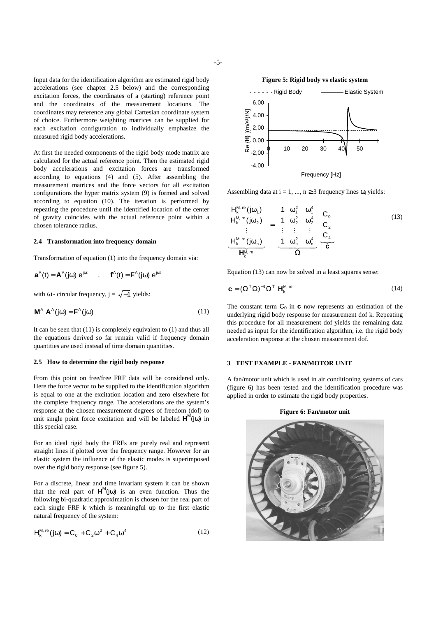Input data for the identification algorithm are estimated rigid body accelerations (see chapter 2.5 below) and the corresponding excitation forces, the coordinates of a (starting) reference point and the coordinates of the measurement locations. The coordinates may reference any global Cartesian coordinate system of choice. Furthermore weighting matrices can be supplied for

At first the needed components of the rigid body mode matrix are calculated for the actual reference point. Then the estimated rigid body accelerations and excitation forces are transformed according to equations (4) and (5). After assembling the measurement matrices and the force vectors for all excitation configurations the hyper matrix system (9) is formed and solved according to equation (10). The iteration is performed by repeating the procedure until the identified location of the center of gravity coincides with the actual reference point within a chosen tolerance radius.

each excitation configuration to individually emphasize the

#### **2.4 Transformation into frequency domain**

measured rigid body accelerations.

Transformation of equation (1) into the frequency domain via:

$$
\boldsymbol{a}^{\text{A}}(t)=\boldsymbol{A}^{\text{A}}(j\omega)\ e^{j\omega t}\qquad,\qquad \boldsymbol{f}^{\text{A}}(t)=\boldsymbol{F}^{\text{A}}(j\omega)\ e^{j\omega t}
$$

with  $\omega$  - circular frequency,  $j = \sqrt{-1}$  yields:

$$
\mathbf{M}^{\mathsf{A}} \ \mathbf{A}^{\mathsf{A}}(\mathbf{j}\omega) = \mathbf{F}^{\mathsf{A}}(\mathbf{j}\omega) \tag{11}
$$

It can be seen that (11) is completely equivalent to (1) and thus all the equations derived so far remain valid if frequency domain quantities are used instead of time domain quantities.

## **2.5 How to determine the rigid body response**

From this point on free/free FRF data will be considered only. Here the force vector to be supplied to the identification algorithm is equal to one at the excitation location and zero elsewhere for the complete frequency range. The accelerations are the system's response at the chosen measurement degrees of freedom (dof) to unit single point force excitation and will be labeled  $H^M(j\omega)$  in this special case.

For an ideal rigid body the FRFs are purely real and represent straight lines if plotted over the frequency range. However for an elastic system the influence of the elastic modes is superimposed over the rigid body response (see figure 5).

For a discrete, linear and time invariant system it can be shown that the real part of  $H^M(i\omega)$  is an even function. Thus the following bi-quadratic approximation is chosen for the real part of each single FRF k which is meaningful up to the first elastic natural frequency of the system:

$$
\mathsf{H}_{k}^{\mathsf{M},\text{ re}}\left(j\omega\right) = \mathsf{C}_{0} + \mathsf{C}_{2}\omega^{2} + \mathsf{C}_{4}\omega^{4}
$$
\n(12)



Frequency [Hz]

Assembling data at  $i = 1, ..., n \ge 3$  frequency lines  $\omega_i$  yields:

$$
\begin{bmatrix}\nH_k^{M, re}(j\omega_1) \\
H_k^{M, re}(j\omega_2) \\
\vdots \\
H_k^{M, re}(j\omega_n)\n\end{bmatrix} = \begin{bmatrix}\n1 & \omega_1^2 & \omega_1^4 \\
1 & \omega_2^2 & \omega_2^4 \\
\vdots & \vdots & \vdots \\
1 & \omega_n^2 & \omega_n^4\n\end{bmatrix} \begin{bmatrix}\nC_0 \\
C_2 \\
C_4\n\end{bmatrix}
$$
\n(13)

Equation (13) can now be solved in a least squares sense:

$$
\mathbf{C} = (\Omega^{\mathrm{T}} \Omega)^{-1} \Omega^{\mathrm{T}} \mathbf{H}_{k}^{\mathrm{M, re}}
$$
(14)

The constant term  $C_0$  in **c** now represents an estimation of the underlying rigid body response for measurement dof k. Repeating this procedure for all measurement dof yields the remaining data needed as input for the identification algorithm, i.e. the rigid body acceleration response at the chosen measurement dof.

## **3 TEST EXAMPLE - FAN/MOTOR UNIT**

A fan/motor unit which is used in air conditioning systems of cars (figure 6) has been tested and the identification procedure was applied in order to estimate the rigid body properties.

## **Figure 6: Fan/motor unit**

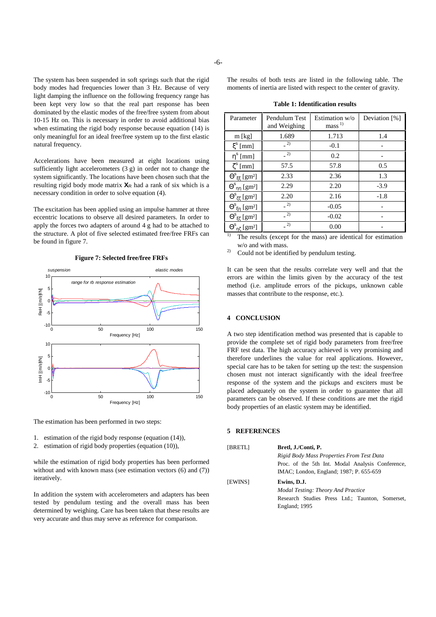The system has been suspended in soft springs such that the rigid body modes had frequencies lower than 3 Hz. Because of very light damping the influence on the following frequency range has been kept very low so that the real part response has been dominated by the elastic modes of the free/free system from about 10-15 Hz on. This is necessary in order to avoid additional bias when estimating the rigid body response because equation (14) is only meaningful for an ideal free/free system up to the first elastic natural frequency.

Accelerations have been measured at eight locations using sufficiently light accelerometers (3 g) in order not to change the system significantly. The locations have been chosen such that the resulting rigid body mode matrix  $X_R$  had a rank of six which is a necessary condition in order to solve equation (4).

The excitation has been applied using an impulse hammer at three eccentric locations to observe all desired parameters. In order to apply the forces two adapters of around 4 g had to be attached to the structure. A plot of five selected estimated free/free FRFs can be found in figure 7.



**Figure 7: Selected free/free FRFs**

The estimation has been performed in two steps:

- 1. estimation of the rigid body response (equation (14)),
- 2. estimation of rigid body properties (equation (10)),

while the estimation of rigid body properties has been performed without and with known mass (see estimation vectors  $(6)$  and  $(7)$ ) iteratively.

In addition the system with accelerometers and adapters has been tested by pendulum testing and the overall mass has been determined by weighing. Care has been taken that these results are very accurate and thus may serve as reference for comparison.

The results of both tests are listed in the following table. The moments of inertia are listed with respect to the center of gravity.

**Table 1: Identification results**

| Parameter                                     | Pendulum Test<br>and Weighing | Estimation w/o<br>mass <sup>1</sup> | Deviation [%] |
|-----------------------------------------------|-------------------------------|-------------------------------------|---------------|
| $m$ [kg]                                      | 1.689                         | 1.713                               | 1.4           |
| $\xi^s$ [mm]                                  | $\left( \frac{2}{2} \right)$  | $-0.1$                              |               |
| $\eta^s$ [mm]                                 | $-2)$                         | 0.2                                 |               |
| $\zeta^s$ [mm]                                | 57.5                          | 57.8                                | 0.5           |
| $\Theta^s_{\xi\xi}$ [gm <sup>2</sup> ]        | 2.33                          | 2.36                                | 1.3           |
| $\Theta_{\eta\eta}^{s}$ [gm <sup>2</sup> ]    | 2.29                          | 2.20                                | $-3.9$        |
| $\Theta^\mathrm{s}{}_{\zeta\zeta}$ [gm²]      | 2.20                          | 2.16                                | $-1.8$        |
| $\Theta^s{}_{\xi\eta}\ [\mathrm{gm^2}]$       | (2)                           | $-0.05$                             |               |
| $\Theta^s_{\xi\zeta}\left[\text{gm}^2\right]$ | $-2)$                         | $-0.02$                             |               |
| $\Theta_{\ \eta\zeta}\,[\underline{gm^2}]$    | 2)                            | 0.00                                |               |

<sup>1)</sup> The results (except for the mass) are identical for estimation w/o and with mass.

<sup>2)</sup> Could not be identified by pendulum testing.

It can be seen that the results correlate very well and that the errors are within the limits given by the accuracy of the test method (i.e. amplitude errors of the pickups, unknown cable masses that contribute to the response, etc.).

# **4 CONCLUSION**

A two step identification method was presented that is capable to provide the complete set of rigid body parameters from free/free FRF test data. The high accuracy achieved is very promising and therefore underlines the value for real applications. However, special care has to be taken for setting up the test: the suspension chosen must not interact significantly with the ideal free/free response of the system and the pickups and exciters must be placed adequately on the system in order to guarantee that all parameters can be observed. If these conditions are met the rigid body properties of an elastic system may be identified.

# **5 REFERENCES**

| [BRETL]        | Bretl, J./Conti, P.                              |  |  |
|----------------|--------------------------------------------------|--|--|
|                | Rigid Body Mass Properties From Test Data        |  |  |
|                | Proc. of the 5th Int. Modal Analysis Conference, |  |  |
|                | IMAC; London, England; 1987; P. 655-659          |  |  |
| <b>IEWINS1</b> | Ewins, D.J.                                      |  |  |
|                | Modal Testing: Theory And Practice               |  |  |
|                | Research Studies Press Ltd.; Taunton, Somerset,  |  |  |
|                | England; 1995                                    |  |  |
|                |                                                  |  |  |